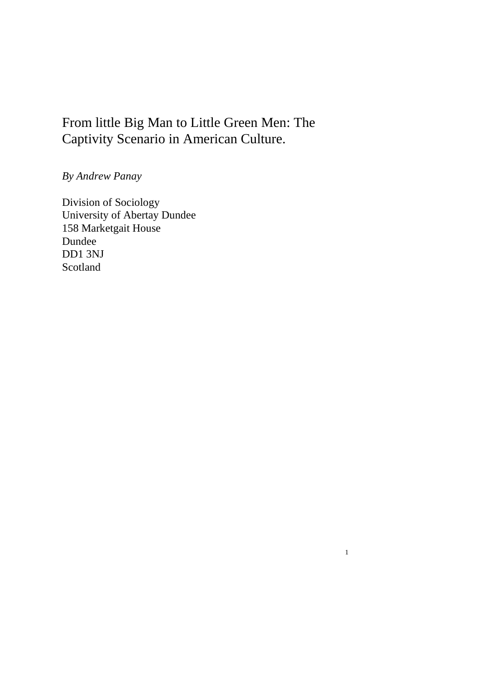# From little Big Man to Little Green Men: The Captivity Scenario in American Culture.

1

# *By Andrew Panay*

Division of Sociology University of Abertay Dundee 158 Marketgait House Dundee DD1 3NJ Scotland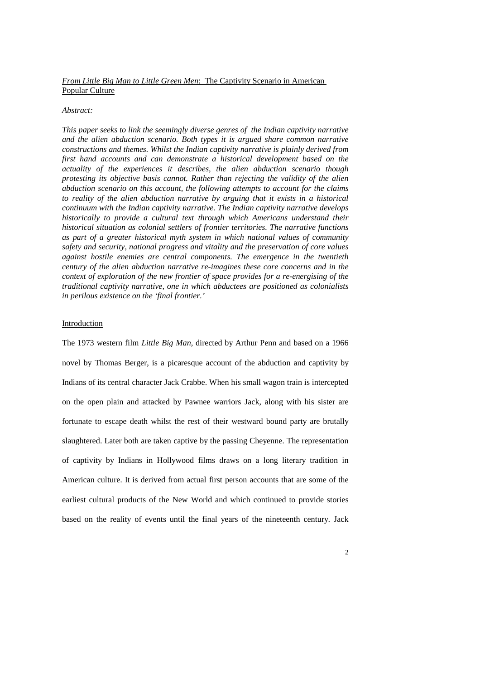# *From Little Big Man to Little Green Men*: The Captivity Scenario in American Popular Culture

#### *Abstract:*

*This paper seeks to link the seemingly diverse genres of the Indian captivity narrative and the alien abduction scenario. Both types it is argued share common narrative constructions and themes. Whilst the Indian captivity narrative is plainly derived from first hand accounts and can demonstrate a historical development based on the actuality of the experiences it describes, the alien abduction scenario though protesting its objective basis cannot. Rather than rejecting the validity of the alien abduction scenario on this account, the following attempts to account for the claims to reality of the alien abduction narrative by arguing that it exists in a historical continuum with the Indian captivity narrative. The Indian captivity narrative develops historically to provide a cultural text through which Americans understand their historical situation as colonial settlers of frontier territories. The narrative functions as part of a greater historical myth system in which national values of community safety and security, national progress and vitality and the preservation of core values against hostile enemies are central components. The emergence in the twentieth century of the alien abduction narrative re-imagines these core concerns and in the context of exploration of the new frontier of space provides for a re-energising of the traditional captivity narrative, one in which abductees are positioned as colonialists in perilous existence on the 'final frontier.'* 

#### Introduction

The 1973 western film *Little Big Man*, directed by Arthur Penn and based on a 1966 novel by Thomas Berger, is a picaresque account of the abduction and captivity by Indians of its central character Jack Crabbe. When his small wagon train is intercepted on the open plain and attacked by Pawnee warriors Jack, along with his sister are fortunate to escape death whilst the rest of their westward bound party are brutally slaughtered. Later both are taken captive by the passing Cheyenne. The representation of captivity by Indians in Hollywood films draws on a long literary tradition in American culture. It is derived from actual first person accounts that are some of the earliest cultural products of the New World and which continued to provide stories based on the reality of events until the final years of the nineteenth century. Jack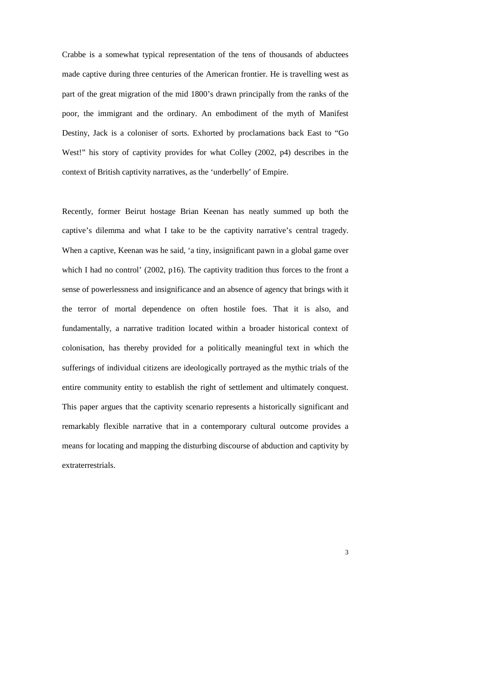Crabbe is a somewhat typical representation of the tens of thousands of abductees made captive during three centuries of the American frontier. He is travelling west as part of the great migration of the mid 1800's drawn principally from the ranks of the poor, the immigrant and the ordinary. An embodiment of the myth of Manifest Destiny, Jack is a coloniser of sorts. Exhorted by proclamations back East to "Go West!" his story of captivity provides for what Colley (2002, p4) describes in the context of British captivity narratives, as the 'underbelly' of Empire.

Recently, former Beirut hostage Brian Keenan has neatly summed up both the captive's dilemma and what I take to be the captivity narrative's central tragedy. When a captive, Keenan was he said, 'a tiny, insignificant pawn in a global game over which I had no control' (2002, p16). The captivity tradition thus forces to the front a sense of powerlessness and insignificance and an absence of agency that brings with it the terror of mortal dependence on often hostile foes. That it is also, and fundamentally, a narrative tradition located within a broader historical context of colonisation, has thereby provided for a politically meaningful text in which the sufferings of individual citizens are ideologically portrayed as the mythic trials of the entire community entity to establish the right of settlement and ultimately conquest. This paper argues that the captivity scenario represents a historically significant and remarkably flexible narrative that in a contemporary cultural outcome provides a means for locating and mapping the disturbing discourse of abduction and captivity by extraterrestrials.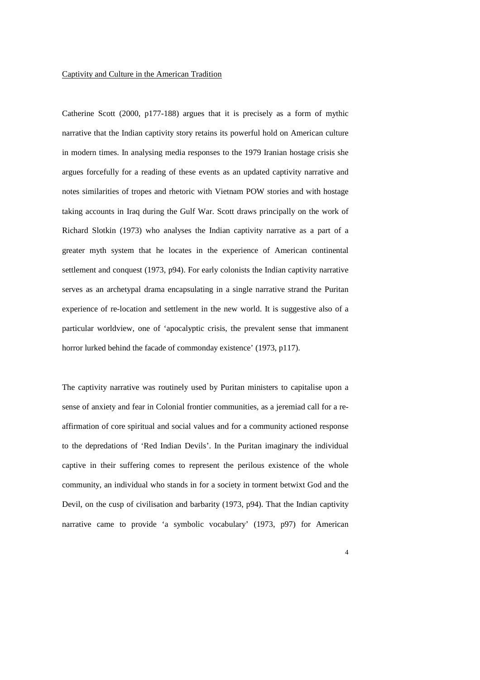# Captivity and Culture in the American Tradition

Catherine Scott (2000, p177-188) argues that it is precisely as a form of mythic narrative that the Indian captivity story retains its powerful hold on American culture in modern times. In analysing media responses to the 1979 Iranian hostage crisis she argues forcefully for a reading of these events as an updated captivity narrative and notes similarities of tropes and rhetoric with Vietnam POW stories and with hostage taking accounts in Iraq during the Gulf War. Scott draws principally on the work of Richard Slotkin (1973) who analyses the Indian captivity narrative as a part of a greater myth system that he locates in the experience of American continental settlement and conquest (1973, p94). For early colonists the Indian captivity narrative serves as an archetypal drama encapsulating in a single narrative strand the Puritan experience of re-location and settlement in the new world. It is suggestive also of a particular worldview, one of 'apocalyptic crisis, the prevalent sense that immanent horror lurked behind the facade of commonday existence' (1973, p117).

The captivity narrative was routinely used by Puritan ministers to capitalise upon a sense of anxiety and fear in Colonial frontier communities, as a jeremiad call for a reaffirmation of core spiritual and social values and for a community actioned response to the depredations of 'Red Indian Devils'. In the Puritan imaginary the individual captive in their suffering comes to represent the perilous existence of the whole community, an individual who stands in for a society in torment betwixt God and the Devil, on the cusp of civilisation and barbarity (1973, p94). That the Indian captivity narrative came to provide 'a symbolic vocabulary' (1973, p97) for American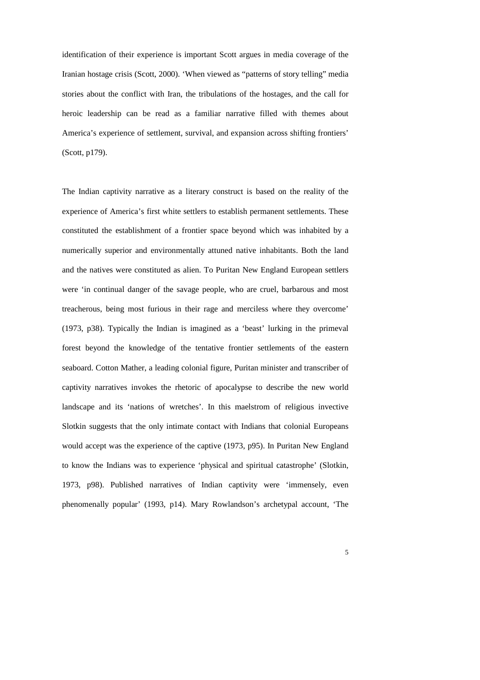identification of their experience is important Scott argues in media coverage of the Iranian hostage crisis (Scott, 2000). 'When viewed as "patterns of story telling" media stories about the conflict with Iran, the tribulations of the hostages, and the call for heroic leadership can be read as a familiar narrative filled with themes about America's experience of settlement, survival, and expansion across shifting frontiers' (Scott, p179).

The Indian captivity narrative as a literary construct is based on the reality of the experience of America's first white settlers to establish permanent settlements. These constituted the establishment of a frontier space beyond which was inhabited by a numerically superior and environmentally attuned native inhabitants. Both the land and the natives were constituted as alien. To Puritan New England European settlers were 'in continual danger of the savage people, who are cruel, barbarous and most treacherous, being most furious in their rage and merciless where they overcome' (1973, p38). Typically the Indian is imagined as a 'beast' lurking in the primeval forest beyond the knowledge of the tentative frontier settlements of the eastern seaboard. Cotton Mather, a leading colonial figure, Puritan minister and transcriber of captivity narratives invokes the rhetoric of apocalypse to describe the new world landscape and its 'nations of wretches'. In this maelstrom of religious invective Slotkin suggests that the only intimate contact with Indians that colonial Europeans would accept was the experience of the captive (1973, p95). In Puritan New England to know the Indians was to experience 'physical and spiritual catastrophe' (Slotkin, 1973, p98). Published narratives of Indian captivity were 'immensely, even phenomenally popular' (1993, p14). Mary Rowlandson's archetypal account, 'The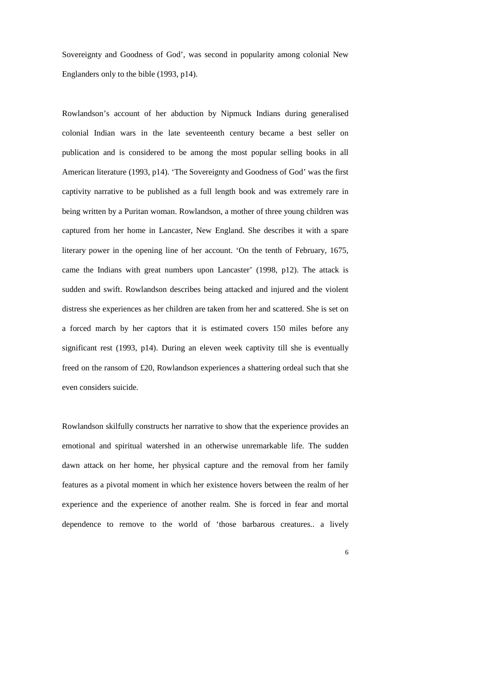Sovereignty and Goodness of God', was second in popularity among colonial New Englanders only to the bible (1993, p14).

Rowlandson's account of her abduction by Nipmuck Indians during generalised colonial Indian wars in the late seventeenth century became a best seller on publication and is considered to be among the most popular selling books in all American literature (1993, p14). 'The Sovereignty and Goodness of God' was the first captivity narrative to be published as a full length book and was extremely rare in being written by a Puritan woman. Rowlandson, a mother of three young children was captured from her home in Lancaster, New England. She describes it with a spare literary power in the opening line of her account. 'On the tenth of February, 1675, came the Indians with great numbers upon Lancaster' (1998, p12). The attack is sudden and swift. Rowlandson describes being attacked and injured and the violent distress she experiences as her children are taken from her and scattered. She is set on a forced march by her captors that it is estimated covers 150 miles before any significant rest (1993, p14). During an eleven week captivity till she is eventually freed on the ransom of £20, Rowlandson experiences a shattering ordeal such that she even considers suicide.

Rowlandson skilfully constructs her narrative to show that the experience provides an emotional and spiritual watershed in an otherwise unremarkable life. The sudden dawn attack on her home, her physical capture and the removal from her family features as a pivotal moment in which her existence hovers between the realm of her experience and the experience of another realm. She is forced in fear and mortal dependence to remove to the world of 'those barbarous creatures.. a lively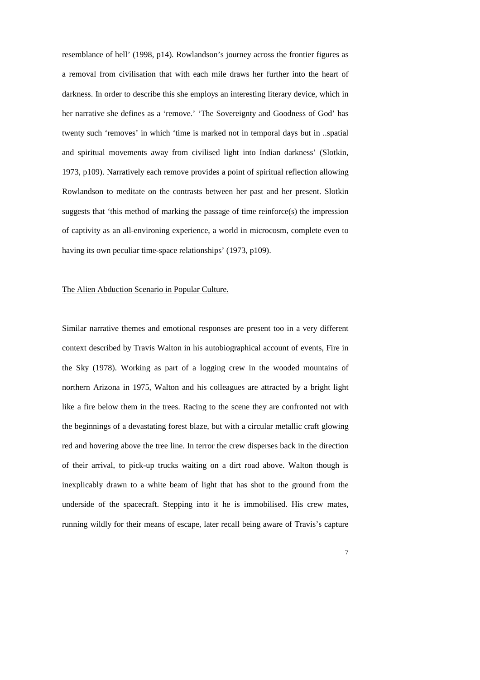resemblance of hell' (1998, p14). Rowlandson's journey across the frontier figures as a removal from civilisation that with each mile draws her further into the heart of darkness. In order to describe this she employs an interesting literary device, which in her narrative she defines as a 'remove.' 'The Sovereignty and Goodness of God' has twenty such 'removes' in which 'time is marked not in temporal days but in ..spatial and spiritual movements away from civilised light into Indian darkness' (Slotkin, 1973, p109). Narratively each remove provides a point of spiritual reflection allowing Rowlandson to meditate on the contrasts between her past and her present. Slotkin suggests that 'this method of marking the passage of time reinforce(s) the impression of captivity as an all-environing experience, a world in microcosm, complete even to having its own peculiar time-space relationships' (1973, p109).

#### The Alien Abduction Scenario in Popular Culture.

Similar narrative themes and emotional responses are present too in a very different context described by Travis Walton in his autobiographical account of events, Fire in the Sky (1978). Working as part of a logging crew in the wooded mountains of northern Arizona in 1975, Walton and his colleagues are attracted by a bright light like a fire below them in the trees. Racing to the scene they are confronted not with the beginnings of a devastating forest blaze, but with a circular metallic craft glowing red and hovering above the tree line. In terror the crew disperses back in the direction of their arrival, to pick-up trucks waiting on a dirt road above. Walton though is inexplicably drawn to a white beam of light that has shot to the ground from the underside of the spacecraft. Stepping into it he is immobilised. His crew mates, running wildly for their means of escape, later recall being aware of Travis's capture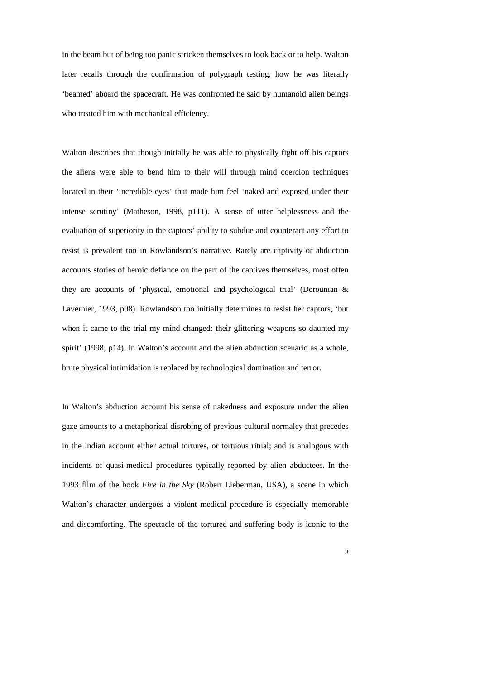in the beam but of being too panic stricken themselves to look back or to help. Walton later recalls through the confirmation of polygraph testing, how he was literally 'beamed' aboard the spacecraft. He was confronted he said by humanoid alien beings who treated him with mechanical efficiency.

Walton describes that though initially he was able to physically fight off his captors the aliens were able to bend him to their will through mind coercion techniques located in their 'incredible eyes' that made him feel 'naked and exposed under their intense scrutiny' (Matheson, 1998, p111). A sense of utter helplessness and the evaluation of superiority in the captors' ability to subdue and counteract any effort to resist is prevalent too in Rowlandson's narrative. Rarely are captivity or abduction accounts stories of heroic defiance on the part of the captives themselves, most often they are accounts of 'physical, emotional and psychological trial' (Derounian & Lavernier, 1993, p98). Rowlandson too initially determines to resist her captors, 'but when it came to the trial my mind changed: their glittering weapons so daunted my spirit' (1998, p14). In Walton's account and the alien abduction scenario as a whole, brute physical intimidation is replaced by technological domination and terror.

In Walton's abduction account his sense of nakedness and exposure under the alien gaze amounts to a metaphorical disrobing of previous cultural normalcy that precedes in the Indian account either actual tortures, or tortuous ritual; and is analogous with incidents of quasi-medical procedures typically reported by alien abductees. In the 1993 film of the book *Fire in the Sky* (Robert Lieberman, USA), a scene in which Walton's character undergoes a violent medical procedure is especially memorable and discomforting. The spectacle of the tortured and suffering body is iconic to the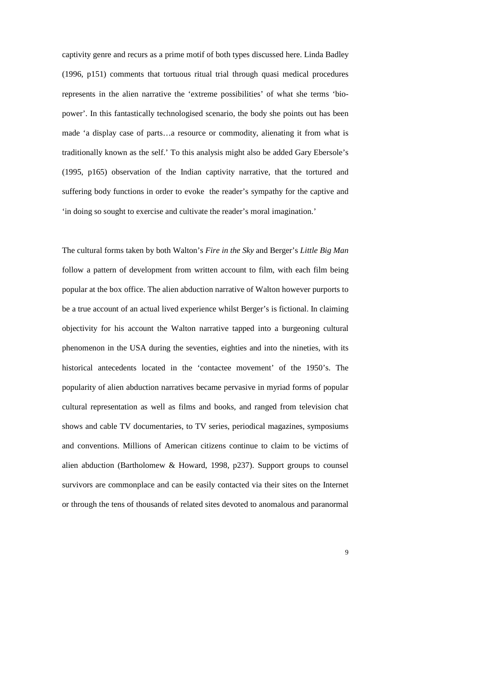captivity genre and recurs as a prime motif of both types discussed here. Linda Badley (1996, p151) comments that tortuous ritual trial through quasi medical procedures represents in the alien narrative the 'extreme possibilities' of what she terms 'biopower'. In this fantastically technologised scenario, the body she points out has been made 'a display case of parts…a resource or commodity, alienating it from what is traditionally known as the self.' To this analysis might also be added Gary Ebersole's (1995, p165) observation of the Indian captivity narrative, that the tortured and suffering body functions in order to evoke the reader's sympathy for the captive and 'in doing so sought to exercise and cultivate the reader's moral imagination.'

The cultural forms taken by both Walton's *Fire in the Sky* and Berger's *Little Big Man* follow a pattern of development from written account to film, with each film being popular at the box office. The alien abduction narrative of Walton however purports to be a true account of an actual lived experience whilst Berger's is fictional. In claiming objectivity for his account the Walton narrative tapped into a burgeoning cultural phenomenon in the USA during the seventies, eighties and into the nineties, with its historical antecedents located in the 'contactee movement' of the 1950's. The popularity of alien abduction narratives became pervasive in myriad forms of popular cultural representation as well as films and books, and ranged from television chat shows and cable TV documentaries, to TV series, periodical magazines, symposiums and conventions. Millions of American citizens continue to claim to be victims of alien abduction (Bartholomew & Howard, 1998, p237). Support groups to counsel survivors are commonplace and can be easily contacted via their sites on the Internet or through the tens of thousands of related sites devoted to anomalous and paranormal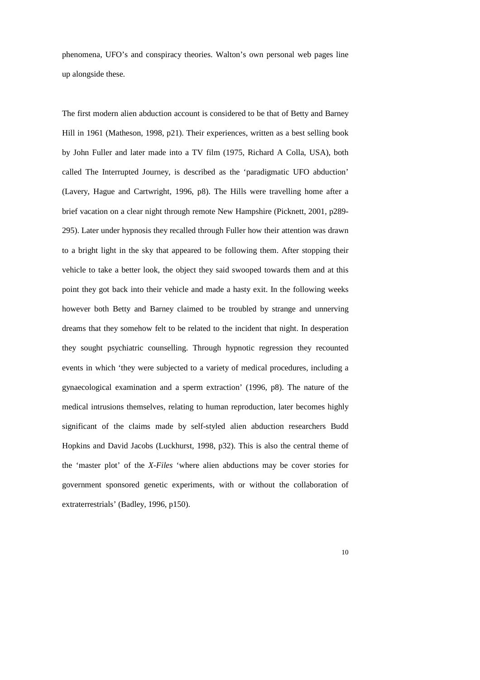phenomena, UFO's and conspiracy theories. Walton's own personal web pages line up alongside these.

The first modern alien abduction account is considered to be that of Betty and Barney Hill in 1961 (Matheson, 1998, p21). Their experiences, written as a best selling book by John Fuller and later made into a TV film (1975, Richard A Colla, USA), both called The Interrupted Journey, is described as the 'paradigmatic UFO abduction' (Lavery, Hague and Cartwright, 1996, p8). The Hills were travelling home after a brief vacation on a clear night through remote New Hampshire (Picknett, 2001, p289- 295). Later under hypnosis they recalled through Fuller how their attention was drawn to a bright light in the sky that appeared to be following them. After stopping their vehicle to take a better look, the object they said swooped towards them and at this point they got back into their vehicle and made a hasty exit. In the following weeks however both Betty and Barney claimed to be troubled by strange and unnerving dreams that they somehow felt to be related to the incident that night. In desperation they sought psychiatric counselling. Through hypnotic regression they recounted events in which 'they were subjected to a variety of medical procedures, including a gynaecological examination and a sperm extraction' (1996, p8). The nature of the medical intrusions themselves, relating to human reproduction, later becomes highly significant of the claims made by self-styled alien abduction researchers Budd Hopkins and David Jacobs (Luckhurst, 1998, p32). This is also the central theme of the 'master plot' of the *X-Files* 'where alien abductions may be cover stories for government sponsored genetic experiments, with or without the collaboration of extraterrestrials' (Badley, 1996, p150).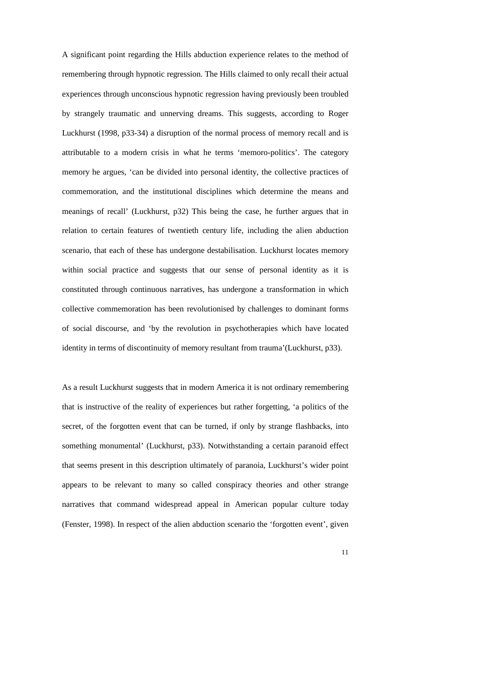A significant point regarding the Hills abduction experience relates to the method of remembering through hypnotic regression. The Hills claimed to only recall their actual experiences through unconscious hypnotic regression having previously been troubled by strangely traumatic and unnerving dreams. This suggests, according to Roger Luckhurst (1998, p33-34) a disruption of the normal process of memory recall and is attributable to a modern crisis in what he terms 'memoro-politics'. The category memory he argues, 'can be divided into personal identity, the collective practices of commemoration, and the institutional disciplines which determine the means and meanings of recall' (Luckhurst, p32) This being the case, he further argues that in relation to certain features of twentieth century life, including the alien abduction scenario, that each of these has undergone destabilisation. Luckhurst locates memory within social practice and suggests that our sense of personal identity as it is constituted through continuous narratives, has undergone a transformation in which collective commemoration has been revolutionised by challenges to dominant forms of social discourse, and 'by the revolution in psychotherapies which have located identity in terms of discontinuity of memory resultant from trauma'(Luckhurst, p33).

As a result Luckhurst suggests that in modern America it is not ordinary remembering that is instructive of the reality of experiences but rather forgetting, 'a politics of the secret, of the forgotten event that can be turned, if only by strange flashbacks, into something monumental' (Luckhurst, p33). Notwithstanding a certain paranoid effect that seems present in this description ultimately of paranoia, Luckhurst's wider point appears to be relevant to many so called conspiracy theories and other strange narratives that command widespread appeal in American popular culture today (Fenster, 1998). In respect of the alien abduction scenario the 'forgotten event', given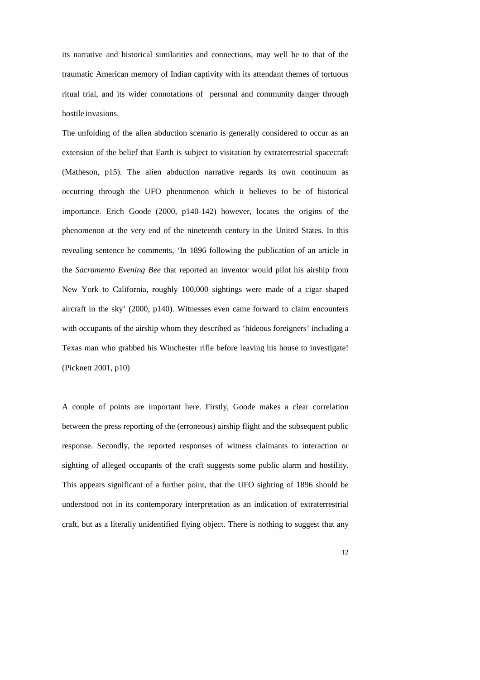its narrative and historical similarities and connections, may well be to that of the traumatic American memory of Indian captivity with its attendant themes of tortuous ritual trial, and its wider connotations of personal and community danger through hostile invasions.

The unfolding of the alien abduction scenario is generally considered to occur as an extension of the belief that Earth is subject to visitation by extraterrestrial spacecraft (Matheson, p15). The alien abduction narrative regards its own continuum as occurring through the UFO phenomenon which it believes to be of historical importance. Erich Goode (2000, p140-142) however, locates the origins of the phenomenon at the very end of the nineteenth century in the United States. In this revealing sentence he comments, 'In 1896 following the publication of an article in the *Sacramento Evening Bee* that reported an inventor would pilot his airship from New York to California, roughly 100,000 sightings were made of a cigar shaped aircraft in the sky' (2000, p140). Witnesses even came forward to claim encounters with occupants of the airship whom they described as 'hideous foreigners' including a Texas man who grabbed his Winchester rifle before leaving his house to investigate! (Picknett 2001, p10)

A couple of points are important here. Firstly, Goode makes a clear correlation between the press reporting of the (erroneous) airship flight and the subsequent public response. Secondly, the reported responses of witness claimants to interaction or sighting of alleged occupants of the craft suggests some public alarm and hostility. This appears significant of a further point, that the UFO sighting of 1896 should be understood not in its contemporary interpretation as an indication of extraterrestrial craft, but as a literally unidentified flying object. There is nothing to suggest that any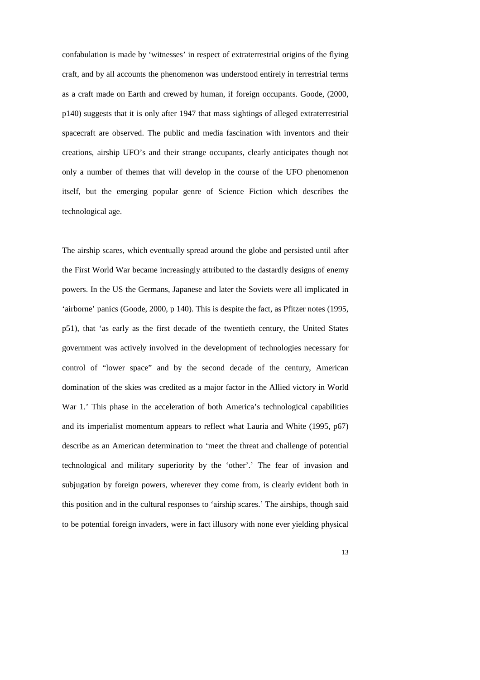confabulation is made by 'witnesses' in respect of extraterrestrial origins of the flying craft, and by all accounts the phenomenon was understood entirely in terrestrial terms as a craft made on Earth and crewed by human, if foreign occupants. Goode, (2000, p140) suggests that it is only after 1947 that mass sightings of alleged extraterrestrial spacecraft are observed. The public and media fascination with inventors and their creations, airship UFO's and their strange occupants, clearly anticipates though not only a number of themes that will develop in the course of the UFO phenomenon itself, but the emerging popular genre of Science Fiction which describes the technological age.

The airship scares, which eventually spread around the globe and persisted until after the First World War became increasingly attributed to the dastardly designs of enemy powers. In the US the Germans, Japanese and later the Soviets were all implicated in 'airborne' panics (Goode, 2000, p 140). This is despite the fact, as Pfitzer notes (1995, p51), that 'as early as the first decade of the twentieth century, the United States government was actively involved in the development of technologies necessary for control of "lower space" and by the second decade of the century, American domination of the skies was credited as a major factor in the Allied victory in World War 1.' This phase in the acceleration of both America's technological capabilities and its imperialist momentum appears to reflect what Lauria and White (1995, p67) describe as an American determination to 'meet the threat and challenge of potential technological and military superiority by the 'other'.' The fear of invasion and subjugation by foreign powers, wherever they come from, is clearly evident both in this position and in the cultural responses to 'airship scares.' The airships, though said to be potential foreign invaders, were in fact illusory with none ever yielding physical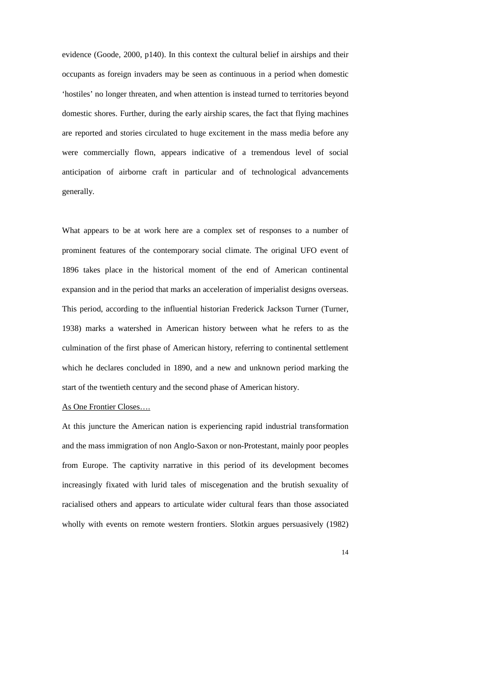evidence (Goode, 2000, p140). In this context the cultural belief in airships and their occupants as foreign invaders may be seen as continuous in a period when domestic 'hostiles' no longer threaten, and when attention is instead turned to territories beyond domestic shores. Further, during the early airship scares, the fact that flying machines are reported and stories circulated to huge excitement in the mass media before any were commercially flown, appears indicative of a tremendous level of social anticipation of airborne craft in particular and of technological advancements generally.

What appears to be at work here are a complex set of responses to a number of prominent features of the contemporary social climate. The original UFO event of 1896 takes place in the historical moment of the end of American continental expansion and in the period that marks an acceleration of imperialist designs overseas. This period, according to the influential historian Frederick Jackson Turner (Turner, 1938) marks a watershed in American history between what he refers to as the culmination of the first phase of American history, referring to continental settlement which he declares concluded in 1890, and a new and unknown period marking the start of the twentieth century and the second phase of American history.

# As One Frontier Closes….

At this juncture the American nation is experiencing rapid industrial transformation and the mass immigration of non Anglo-Saxon or non-Protestant, mainly poor peoples from Europe. The captivity narrative in this period of its development becomes increasingly fixated with lurid tales of miscegenation and the brutish sexuality of racialised others and appears to articulate wider cultural fears than those associated wholly with events on remote western frontiers. Slotkin argues persuasively (1982)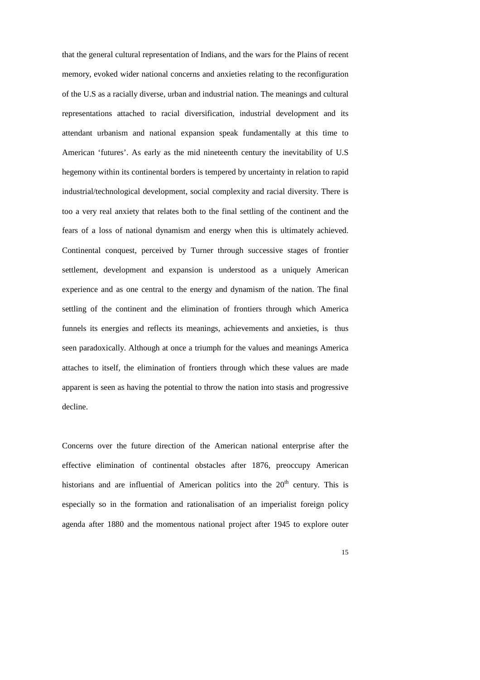that the general cultural representation of Indians, and the wars for the Plains of recent memory, evoked wider national concerns and anxieties relating to the reconfiguration of the U.S as a racially diverse, urban and industrial nation. The meanings and cultural representations attached to racial diversification, industrial development and its attendant urbanism and national expansion speak fundamentally at this time to American 'futures'. As early as the mid nineteenth century the inevitability of U.S hegemony within its continental borders is tempered by uncertainty in relation to rapid industrial/technological development, social complexity and racial diversity. There is too a very real anxiety that relates both to the final settling of the continent and the fears of a loss of national dynamism and energy when this is ultimately achieved. Continental conquest, perceived by Turner through successive stages of frontier settlement, development and expansion is understood as a uniquely American experience and as one central to the energy and dynamism of the nation. The final settling of the continent and the elimination of frontiers through which America funnels its energies and reflects its meanings, achievements and anxieties, is thus seen paradoxically. Although at once a triumph for the values and meanings America attaches to itself, the elimination of frontiers through which these values are made apparent is seen as having the potential to throw the nation into stasis and progressive decline.

Concerns over the future direction of the American national enterprise after the effective elimination of continental obstacles after 1876, preoccupy American historians and are influential of American politics into the  $20<sup>th</sup>$  century. This is especially so in the formation and rationalisation of an imperialist foreign policy agenda after 1880 and the momentous national project after 1945 to explore outer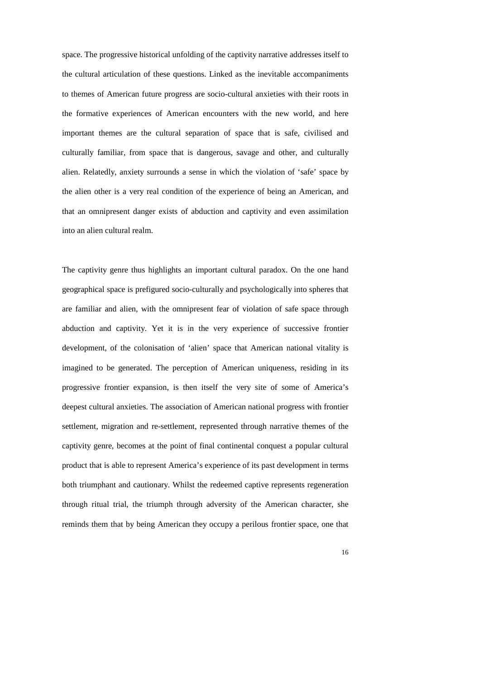space. The progressive historical unfolding of the captivity narrative addresses itself to the cultural articulation of these questions. Linked as the inevitable accompaniments to themes of American future progress are socio-cultural anxieties with their roots in the formative experiences of American encounters with the new world, and here important themes are the cultural separation of space that is safe, civilised and culturally familiar, from space that is dangerous, savage and other, and culturally alien. Relatedly, anxiety surrounds a sense in which the violation of 'safe' space by the alien other is a very real condition of the experience of being an American, and that an omnipresent danger exists of abduction and captivity and even assimilation into an alien cultural realm.

The captivity genre thus highlights an important cultural paradox. On the one hand geographical space is prefigured socio-culturally and psychologically into spheres that are familiar and alien, with the omnipresent fear of violation of safe space through abduction and captivity. Yet it is in the very experience of successive frontier development, of the colonisation of 'alien' space that American national vitality is imagined to be generated. The perception of American uniqueness, residing in its progressive frontier expansion, is then itself the very site of some of America's deepest cultural anxieties. The association of American national progress with frontier settlement, migration and re-settlement, represented through narrative themes of the captivity genre, becomes at the point of final continental conquest a popular cultural product that is able to represent America's experience of its past development in terms both triumphant and cautionary. Whilst the redeemed captive represents regeneration through ritual trial, the triumph through adversity of the American character, she reminds them that by being American they occupy a perilous frontier space, one that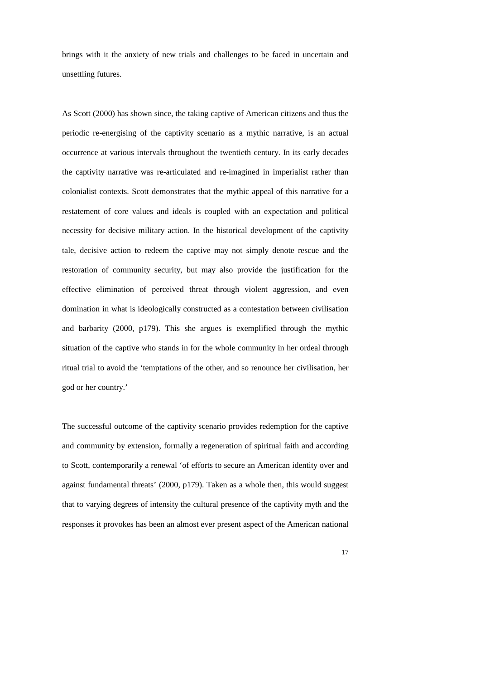brings with it the anxiety of new trials and challenges to be faced in uncertain and unsettling futures.

As Scott (2000) has shown since, the taking captive of American citizens and thus the periodic re-energising of the captivity scenario as a mythic narrative, is an actual occurrence at various intervals throughout the twentieth century. In its early decades the captivity narrative was re-articulated and re-imagined in imperialist rather than colonialist contexts. Scott demonstrates that the mythic appeal of this narrative for a restatement of core values and ideals is coupled with an expectation and political necessity for decisive military action. In the historical development of the captivity tale, decisive action to redeem the captive may not simply denote rescue and the restoration of community security, but may also provide the justification for the effective elimination of perceived threat through violent aggression, and even domination in what is ideologically constructed as a contestation between civilisation and barbarity (2000, p179). This she argues is exemplified through the mythic situation of the captive who stands in for the whole community in her ordeal through ritual trial to avoid the 'temptations of the other, and so renounce her civilisation, her god or her country.'

The successful outcome of the captivity scenario provides redemption for the captive and community by extension, formally a regeneration of spiritual faith and according to Scott, contemporarily a renewal 'of efforts to secure an American identity over and against fundamental threats' (2000, p179). Taken as a whole then, this would suggest that to varying degrees of intensity the cultural presence of the captivity myth and the responses it provokes has been an almost ever present aspect of the American national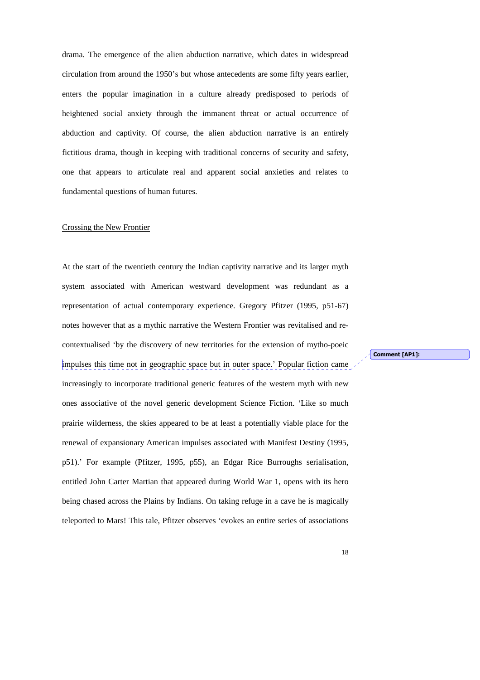drama. The emergence of the alien abduction narrative, which dates in widespread circulation from around the 1950's but whose antecedents are some fifty years earlier, enters the popular imagination in a culture already predisposed to periods of heightened social anxiety through the immanent threat or actual occurrence of abduction and captivity. Of course, the alien abduction narrative is an entirely fictitious drama, though in keeping with traditional concerns of security and safety, one that appears to articulate real and apparent social anxieties and relates to fundamental questions of human futures.

### Crossing the New Frontier

At the start of the twentieth century the Indian captivity narrative and its larger myth system associated with American westward development was redundant as a representation of actual contemporary experience. Gregory Pfitzer (1995, p51-67) notes however that as a mythic narrative the Western Frontier was revitalised and recontextualised 'by the discovery of new territories for the extension of mytho-poeic impulses this time not in geographic space but in outer space.' Popular fiction came increasingly to incorporate traditional generic features of the western myth with new ones associative of the novel generic development Science Fiction. 'Like so much prairie wilderness, the skies appeared to be at least a potentially viable place for the renewal of expansionary American impulses associated with Manifest Destiny (1995, p51).' For example (Pfitzer, 1995, p55), an Edgar Rice Burroughs serialisation, entitled John Carter Martian that appeared during World War 1, opens with its hero being chased across the Plains by Indians. On taking refuge in a cave he is magically teleported to Mars! This tale, Pfitzer observes 'evokes an entire series of associations

Comment [AP1]: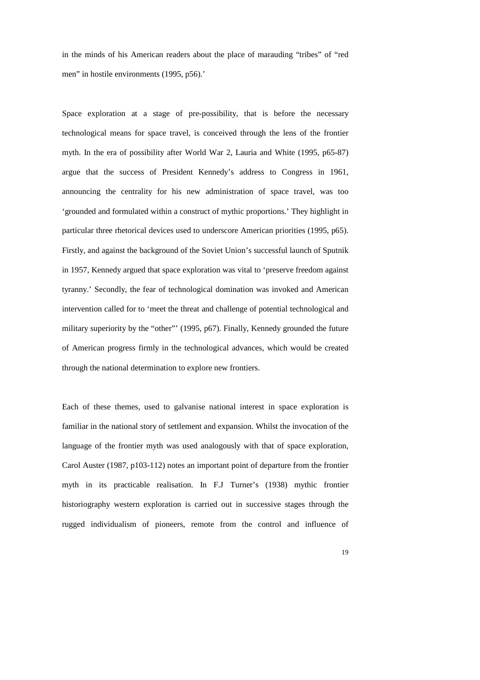in the minds of his American readers about the place of marauding "tribes" of "red men" in hostile environments (1995, p56).'

Space exploration at a stage of pre-possibility, that is before the necessary technological means for space travel, is conceived through the lens of the frontier myth. In the era of possibility after World War 2, Lauria and White (1995, p65-87) argue that the success of President Kennedy's address to Congress in 1961, announcing the centrality for his new administration of space travel, was too 'grounded and formulated within a construct of mythic proportions.' They highlight in particular three rhetorical devices used to underscore American priorities (1995, p65). Firstly, and against the background of the Soviet Union's successful launch of Sputnik in 1957, Kennedy argued that space exploration was vital to 'preserve freedom against tyranny.' Secondly, the fear of technological domination was invoked and American intervention called for to 'meet the threat and challenge of potential technological and military superiority by the "other"' (1995, p67). Finally, Kennedy grounded the future of American progress firmly in the technological advances, which would be created through the national determination to explore new frontiers.

Each of these themes, used to galvanise national interest in space exploration is familiar in the national story of settlement and expansion. Whilst the invocation of the language of the frontier myth was used analogously with that of space exploration, Carol Auster (1987, p103-112) notes an important point of departure from the frontier myth in its practicable realisation. In F.J Turner's (1938) mythic frontier historiography western exploration is carried out in successive stages through the rugged individualism of pioneers, remote from the control and influence of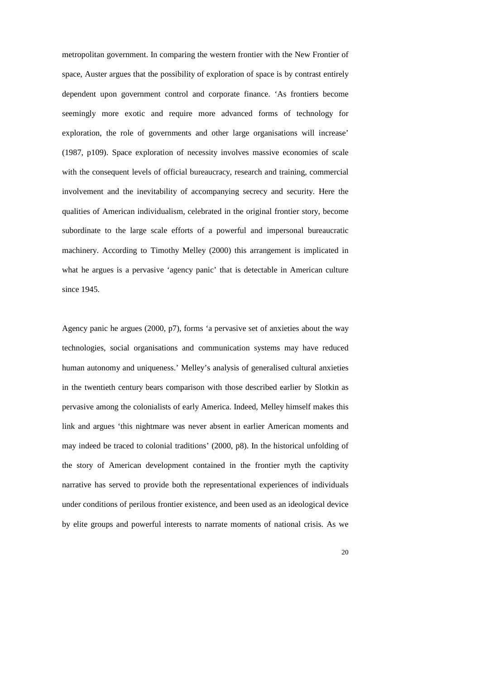metropolitan government. In comparing the western frontier with the New Frontier of space, Auster argues that the possibility of exploration of space is by contrast entirely dependent upon government control and corporate finance. 'As frontiers become seemingly more exotic and require more advanced forms of technology for exploration, the role of governments and other large organisations will increase' (1987, p109). Space exploration of necessity involves massive economies of scale with the consequent levels of official bureaucracy, research and training, commercial involvement and the inevitability of accompanying secrecy and security. Here the qualities of American individualism, celebrated in the original frontier story, become subordinate to the large scale efforts of a powerful and impersonal bureaucratic machinery. According to Timothy Melley (2000) this arrangement is implicated in what he argues is a pervasive 'agency panic' that is detectable in American culture since 1945.

Agency panic he argues (2000, p7), forms 'a pervasive set of anxieties about the way technologies, social organisations and communication systems may have reduced human autonomy and uniqueness.' Melley's analysis of generalised cultural anxieties in the twentieth century bears comparison with those described earlier by Slotkin as pervasive among the colonialists of early America. Indeed, Melley himself makes this link and argues 'this nightmare was never absent in earlier American moments and may indeed be traced to colonial traditions' (2000, p8). In the historical unfolding of the story of American development contained in the frontier myth the captivity narrative has served to provide both the representational experiences of individuals under conditions of perilous frontier existence, and been used as an ideological device by elite groups and powerful interests to narrate moments of national crisis. As we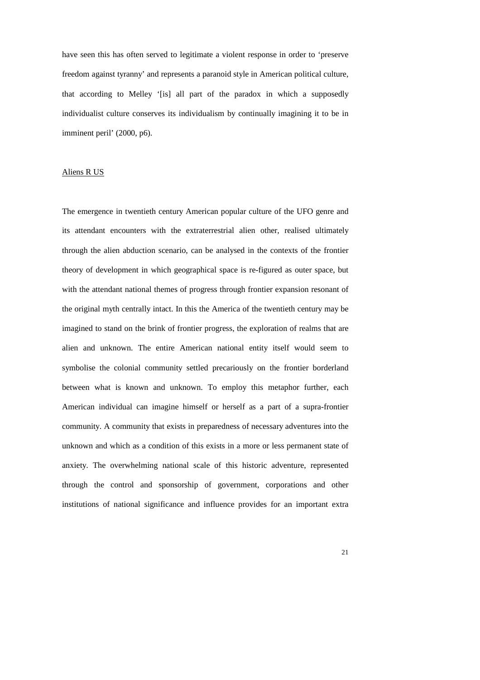have seen this has often served to legitimate a violent response in order to 'preserve freedom against tyranny' and represents a paranoid style in American political culture, that according to Melley '[is] all part of the paradox in which a supposedly individualist culture conserves its individualism by continually imagining it to be in imminent peril' (2000, p6).

# Aliens R US

The emergence in twentieth century American popular culture of the UFO genre and its attendant encounters with the extraterrestrial alien other, realised ultimately through the alien abduction scenario, can be analysed in the contexts of the frontier theory of development in which geographical space is re-figured as outer space, but with the attendant national themes of progress through frontier expansion resonant of the original myth centrally intact. In this the America of the twentieth century may be imagined to stand on the brink of frontier progress, the exploration of realms that are alien and unknown. The entire American national entity itself would seem to symbolise the colonial community settled precariously on the frontier borderland between what is known and unknown. To employ this metaphor further, each American individual can imagine himself or herself as a part of a supra-frontier community. A community that exists in preparedness of necessary adventures into the unknown and which as a condition of this exists in a more or less permanent state of anxiety. The overwhelming national scale of this historic adventure, represented through the control and sponsorship of government, corporations and other institutions of national significance and influence provides for an important extra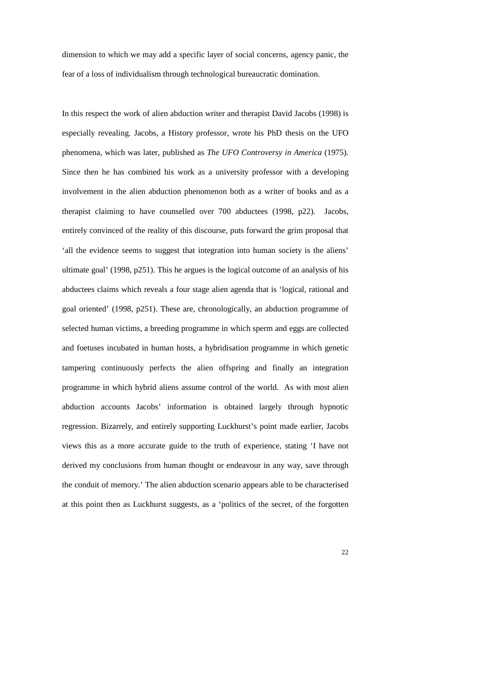dimension to which we may add a specific layer of social concerns, agency panic, the fear of a loss of individualism through technological bureaucratic domination.

In this respect the work of alien abduction writer and therapist David Jacobs (1998) is especially revealing. Jacobs, a History professor, wrote his PhD thesis on the UFO phenomena, which was later, published as *The UFO Controversy in America* (1975). Since then he has combined his work as a university professor with a developing involvement in the alien abduction phenomenon both as a writer of books and as a therapist claiming to have counselled over 700 abductees (1998, p22). Jacobs, entirely convinced of the reality of this discourse, puts forward the grim proposal that 'all the evidence seems to suggest that integration into human society is the aliens' ultimate goal' (1998, p251). This he argues is the logical outcome of an analysis of his abductees claims which reveals a four stage alien agenda that is 'logical, rational and goal oriented' (1998, p251). These are, chronologically, an abduction programme of selected human victims, a breeding programme in which sperm and eggs are collected and foetuses incubated in human hosts, a hybridisation programme in which genetic tampering continuously perfects the alien offspring and finally an integration programme in which hybrid aliens assume control of the world. As with most alien abduction accounts Jacobs' information is obtained largely through hypnotic regression. Bizarrely, and entirely supporting Luckhurst's point made earlier, Jacobs views this as a more accurate guide to the truth of experience, stating 'I have not derived my conclusions from human thought or endeavour in any way, save through the conduit of memory.' The alien abduction scenario appears able to be characterised at this point then as Luckhurst suggests, as a 'politics of the secret, of the forgotten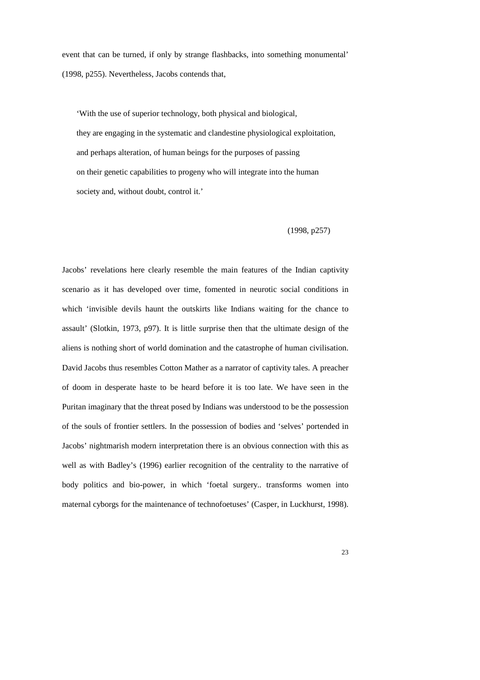event that can be turned, if only by strange flashbacks, into something monumental' (1998, p255). Nevertheless, Jacobs contends that,

 'With the use of superior technology, both physical and biological, they are engaging in the systematic and clandestine physiological exploitation, and perhaps alteration, of human beings for the purposes of passing on their genetic capabilities to progeny who will integrate into the human society and, without doubt, control it.'

(1998, p257)

Jacobs' revelations here clearly resemble the main features of the Indian captivity scenario as it has developed over time, fomented in neurotic social conditions in which 'invisible devils haunt the outskirts like Indians waiting for the chance to assault' (Slotkin, 1973, p97). It is little surprise then that the ultimate design of the aliens is nothing short of world domination and the catastrophe of human civilisation. David Jacobs thus resembles Cotton Mather as a narrator of captivity tales. A preacher of doom in desperate haste to be heard before it is too late. We have seen in the Puritan imaginary that the threat posed by Indians was understood to be the possession of the souls of frontier settlers. In the possession of bodies and 'selves' portended in Jacobs' nightmarish modern interpretation there is an obvious connection with this as well as with Badley's (1996) earlier recognition of the centrality to the narrative of body politics and bio-power, in which 'foetal surgery.. transforms women into maternal cyborgs for the maintenance of technofoetuses' (Casper, in Luckhurst, 1998).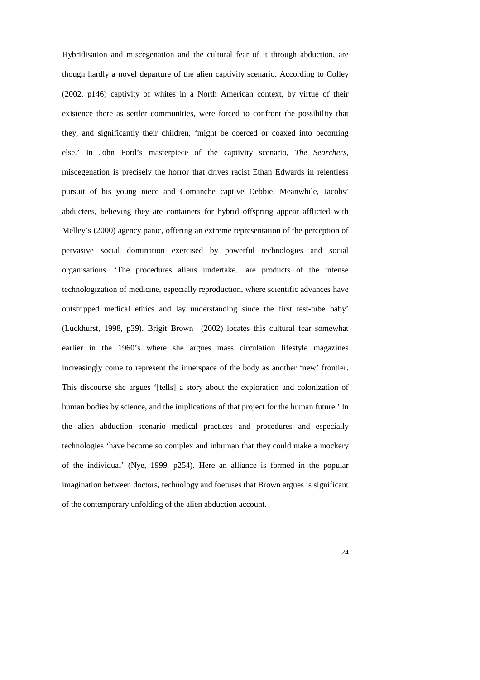Hybridisation and miscegenation and the cultural fear of it through abduction, are though hardly a novel departure of the alien captivity scenario. According to Colley (2002, p146) captivity of whites in a North American context, by virtue of their existence there as settler communities, were forced to confront the possibility that they, and significantly their children, 'might be coerced or coaxed into becoming else.' In John Ford's masterpiece of the captivity scenario, *The Searchers*, miscegenation is precisely the horror that drives racist Ethan Edwards in relentless pursuit of his young niece and Comanche captive Debbie. Meanwhile, Jacobs' abductees, believing they are containers for hybrid offspring appear afflicted with Melley's (2000) agency panic, offering an extreme representation of the perception of pervasive social domination exercised by powerful technologies and social organisations. 'The procedures aliens undertake.. are products of the intense technologization of medicine, especially reproduction, where scientific advances have outstripped medical ethics and lay understanding since the first test-tube baby' (Luckhurst, 1998, p39). Brigit Brown (2002) locates this cultural fear somewhat earlier in the 1960's where she argues mass circulation lifestyle magazines increasingly come to represent the innerspace of the body as another 'new' frontier. This discourse she argues '[tells] a story about the exploration and colonization of human bodies by science, and the implications of that project for the human future.' In the alien abduction scenario medical practices and procedures and especially technologies 'have become so complex and inhuman that they could make a mockery of the individual' (Nye, 1999, p254). Here an alliance is formed in the popular imagination between doctors, technology and foetuses that Brown argues is significant of the contemporary unfolding of the alien abduction account.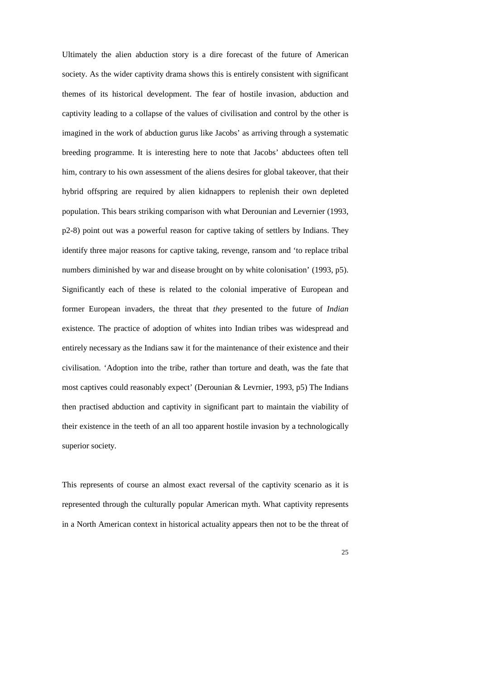Ultimately the alien abduction story is a dire forecast of the future of American society. As the wider captivity drama shows this is entirely consistent with significant themes of its historical development. The fear of hostile invasion, abduction and captivity leading to a collapse of the values of civilisation and control by the other is imagined in the work of abduction gurus like Jacobs' as arriving through a systematic breeding programme. It is interesting here to note that Jacobs' abductees often tell him, contrary to his own assessment of the aliens desires for global takeover, that their hybrid offspring are required by alien kidnappers to replenish their own depleted population. This bears striking comparison with what Derounian and Levernier (1993, p2-8) point out was a powerful reason for captive taking of settlers by Indians. They identify three major reasons for captive taking, revenge, ransom and 'to replace tribal numbers diminished by war and disease brought on by white colonisation' (1993, p5). Significantly each of these is related to the colonial imperative of European and former European invaders, the threat that *they* presented to the future of *Indian* existence. The practice of adoption of whites into Indian tribes was widespread and entirely necessary as the Indians saw it for the maintenance of their existence and their civilisation. 'Adoption into the tribe, rather than torture and death, was the fate that most captives could reasonably expect' (Derounian & Levrnier, 1993, p5) The Indians then practised abduction and captivity in significant part to maintain the viability of their existence in the teeth of an all too apparent hostile invasion by a technologically superior society.

This represents of course an almost exact reversal of the captivity scenario as it is represented through the culturally popular American myth. What captivity represents in a North American context in historical actuality appears then not to be the threat of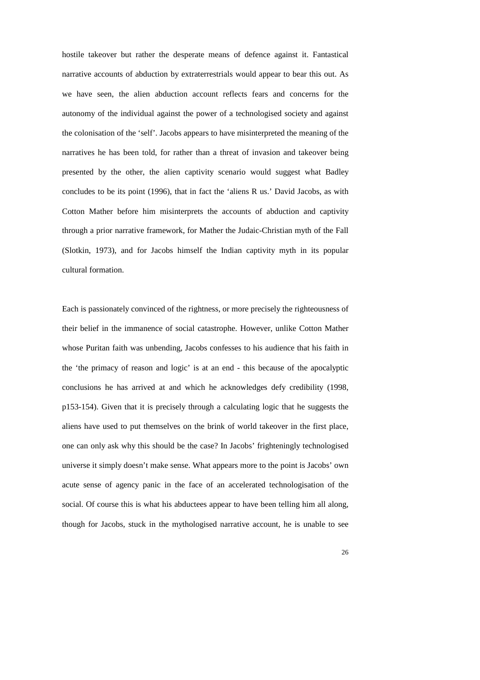hostile takeover but rather the desperate means of defence against it. Fantastical narrative accounts of abduction by extraterrestrials would appear to bear this out. As we have seen, the alien abduction account reflects fears and concerns for the autonomy of the individual against the power of a technologised society and against the colonisation of the 'self'. Jacobs appears to have misinterpreted the meaning of the narratives he has been told, for rather than a threat of invasion and takeover being presented by the other, the alien captivity scenario would suggest what Badley concludes to be its point (1996), that in fact the 'aliens R us.' David Jacobs, as with Cotton Mather before him misinterprets the accounts of abduction and captivity through a prior narrative framework, for Mather the Judaic-Christian myth of the Fall (Slotkin, 1973), and for Jacobs himself the Indian captivity myth in its popular cultural formation.

Each is passionately convinced of the rightness, or more precisely the righteousness of their belief in the immanence of social catastrophe. However, unlike Cotton Mather whose Puritan faith was unbending, Jacobs confesses to his audience that his faith in the 'the primacy of reason and logic' is at an end - this because of the apocalyptic conclusions he has arrived at and which he acknowledges defy credibility (1998, p153-154). Given that it is precisely through a calculating logic that he suggests the aliens have used to put themselves on the brink of world takeover in the first place, one can only ask why this should be the case? In Jacobs' frighteningly technologised universe it simply doesn't make sense. What appears more to the point is Jacobs' own acute sense of agency panic in the face of an accelerated technologisation of the social. Of course this is what his abductees appear to have been telling him all along, though for Jacobs, stuck in the mythologised narrative account, he is unable to see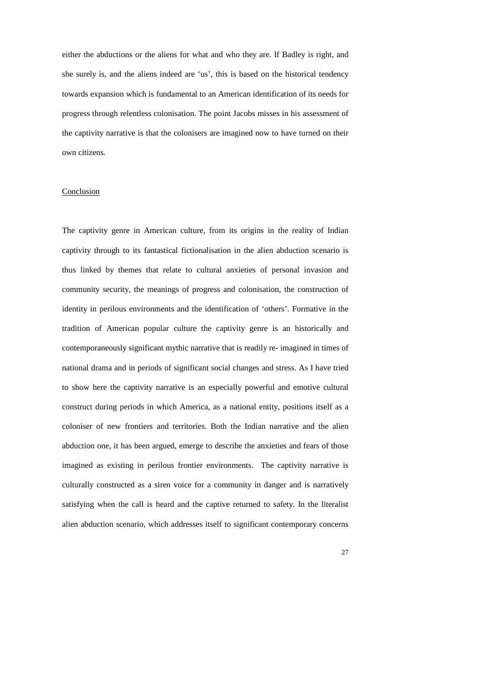either the abductions or the aliens for what and who they are. If Badley is right, and she surely is, and the aliens indeed are 'us', this is based on the historical tendency towards expansion which is fundamental to an American identification of its needs for progress through relentless colonisation. The point Jacobs misses in his assessment of the captivity narrative is that the colonisers are imagined now to have turned on their own citizens.

# Conclusion

The captivity genre in American culture, from its origins in the reality of Indian captivity through to its fantastical fictionalisation in the alien abduction scenario is thus linked by themes that relate to cultural anxieties of personal invasion and community security, the meanings of progress and colonisation, the construction of identity in perilous environments and the identification of 'others'. Formative in the tradition of American popular culture the captivity genre is an historically and contemporaneously significant mythic narrative that is readily re- imagined in times of national drama and in periods of significant social changes and stress. As I have tried to show here the captivity narrative is an especially powerful and emotive cultural construct during periods in which America, as a national entity, positions itself as a coloniser of new frontiers and territories. Both the Indian narrative and the alien abduction one, it has been argued, emerge to describe the anxieties and fears of those imagined as existing in perilous frontier environments. The captivity narrative is culturally constructed as a siren voice for a community in danger and is narratively satisfying when the call is heard and the captive returned to safety. In the literalist alien abduction scenario, which addresses itself to significant contemporary concerns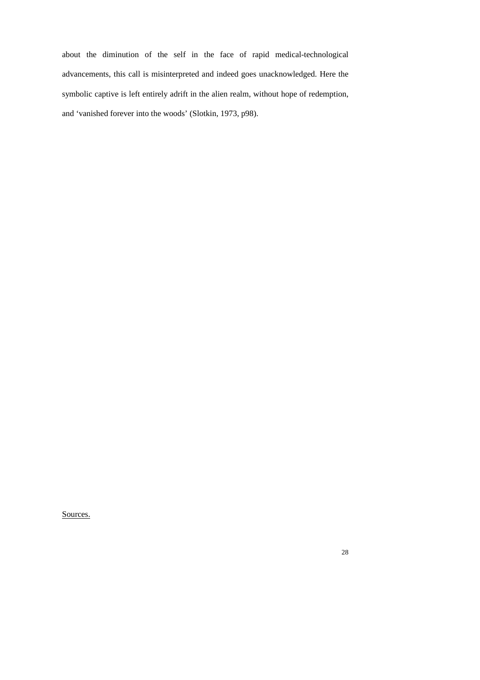about the diminution of the self in the face of rapid medical-technological advancements, this call is misinterpreted and indeed goes unacknowledged. Here the symbolic captive is left entirely adrift in the alien realm, without hope of redemption, and 'vanished forever into the woods' (Slotkin, 1973, p98).

Sources.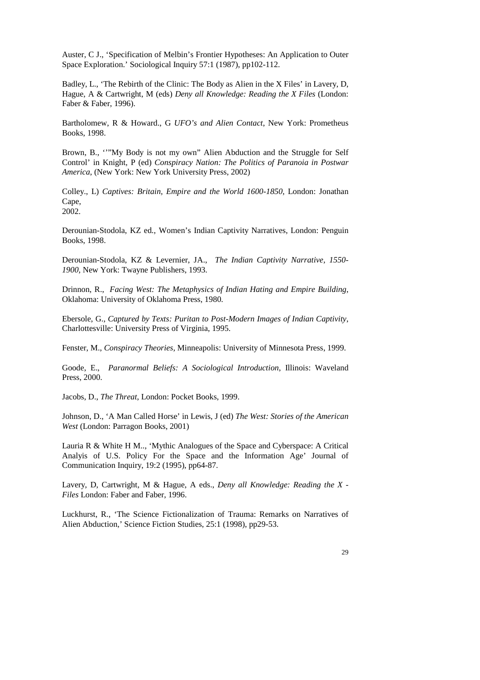Auster, C J., 'Specification of Melbin's Frontier Hypotheses: An Application to Outer Space Exploration.' Sociological Inquiry 57:1 (1987), pp102-112.

Badley, L., 'The Rebirth of the Clinic: The Body as Alien in the X Files' in Lavery, D, Hague, A & Cartwright, M (eds) *Deny all Knowledge: Reading the X Files* (London: Faber & Faber, 1996).

Bartholomew, R & Howard., G *UFO's and Alien Contact*, New York: Prometheus Books, 1998.

Brown, B., ''"My Body is not my own" Alien Abduction and the Struggle for Self Control' in Knight, P (ed) *Conspiracy Nation: The Politics of Paranoia in Postwar America*, (New York: New York University Press, 2002)

Colley., L) *Captives: Britain, Empire and the World 1600-1850*, London: Jonathan Cape, 2002.

Derounian-Stodola, KZ ed., Women's Indian Captivity Narratives, London: Penguin Books, 1998.

Derounian-Stodola, KZ & Levernier, JA., *The Indian Captivity Narrative, 1550- 1900,* New York: Twayne Publishers, 1993.

Drinnon, R., *Facing West: The Metaphysics of Indian Hating and Empire Building*, Oklahoma: University of Oklahoma Press, 1980.

Ebersole, G., *Captured by Texts: Puritan to Post-Modern Images of Indian Captivity*, Charlottesville: University Press of Virginia, 1995.

Fenster, M., *Conspiracy Theories,* Minneapolis: University of Minnesota Press, 1999.

Goode, E., *Paranormal Beliefs: A Sociological Introduction*, Illinois: Waveland Press, 2000.

Jacobs, D., *The Threat*, London: Pocket Books, 1999.

Johnson, D., 'A Man Called Horse' in Lewis, J (ed) *The West: Stories of the American West* (London: Parragon Books, 2001)

Lauria R & White H M.., 'Mythic Analogues of the Space and Cyberspace: A Critical Analyis of U.S. Policy For the Space and the Information Age' Journal of Communication Inquiry, 19:2 (1995), pp64-87.

Lavery, D, Cartwright, M & Hague, A eds., *Deny all Knowledge: Reading the X - Files* London: Faber and Faber, 1996.

Luckhurst, R., 'The Science Fictionalization of Trauma: Remarks on Narratives of Alien Abduction,' Science Fiction Studies, 25:1 (1998), pp29-53.